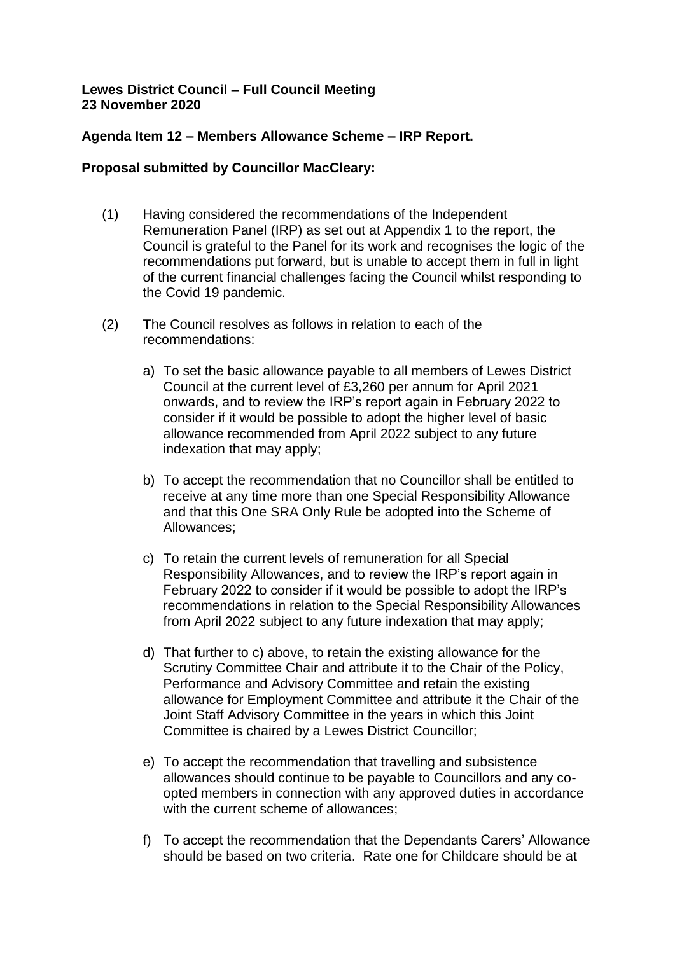## **Lewes District Council – Full Council Meeting 23 November 2020**

## **Agenda Item 12 – Members Allowance Scheme – IRP Report.**

## **Proposal submitted by Councillor MacCleary:**

- (1) Having considered the recommendations of the Independent Remuneration Panel (IRP) as set out at Appendix 1 to the report, the Council is grateful to the Panel for its work and recognises the logic of the recommendations put forward, but is unable to accept them in full in light of the current financial challenges facing the Council whilst responding to the Covid 19 pandemic.
- (2) The Council resolves as follows in relation to each of the recommendations:
	- a) To set the basic allowance payable to all members of Lewes District Council at the current level of £3,260 per annum for April 2021 onwards, and to review the IRP's report again in February 2022 to consider if it would be possible to adopt the higher level of basic allowance recommended from April 2022 subject to any future indexation that may apply;
	- b) To accept the recommendation that no Councillor shall be entitled to receive at any time more than one Special Responsibility Allowance and that this One SRA Only Rule be adopted into the Scheme of Allowances;
	- c) To retain the current levels of remuneration for all Special Responsibility Allowances, and to review the IRP's report again in February 2022 to consider if it would be possible to adopt the IRP's recommendations in relation to the Special Responsibility Allowances from April 2022 subject to any future indexation that may apply;
	- d) That further to c) above, to retain the existing allowance for the Scrutiny Committee Chair and attribute it to the Chair of the Policy, Performance and Advisory Committee and retain the existing allowance for Employment Committee and attribute it the Chair of the Joint Staff Advisory Committee in the years in which this Joint Committee is chaired by a Lewes District Councillor;
	- e) To accept the recommendation that travelling and subsistence allowances should continue to be payable to Councillors and any coopted members in connection with any approved duties in accordance with the current scheme of allowances:
	- f) To accept the recommendation that the Dependants Carers' Allowance should be based on two criteria. Rate one for Childcare should be at